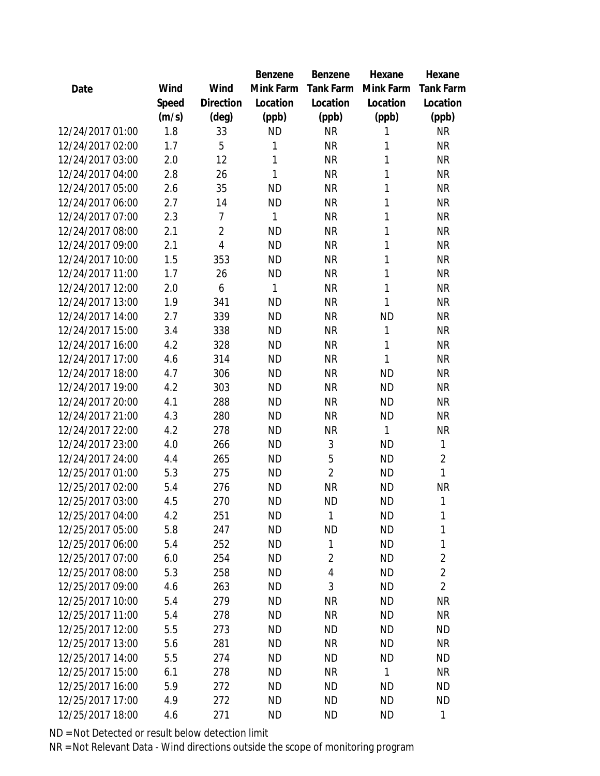|                  |       |                | Benzene   | Benzene        | Hexane    | Hexane         |
|------------------|-------|----------------|-----------|----------------|-----------|----------------|
| Date             | Wind  | Wind           | Mink Farm | Tank Farm      | Mink Farm | Tank Farm      |
|                  | Speed | Direction      | Location  | Location       | Location  | Location       |
|                  | (m/s) | $(\text{deg})$ | (ppb)     | (ppb)          | (ppb)     | (ppb)          |
| 12/24/2017 01:00 | 1.8   | 33             | <b>ND</b> | <b>NR</b>      | 1         | <b>NR</b>      |
| 12/24/2017 02:00 | 1.7   | 5              | 1         | <b>NR</b>      | 1         | <b>NR</b>      |
| 12/24/2017 03:00 | 2.0   | 12             | 1         | <b>NR</b>      | 1         | <b>NR</b>      |
| 12/24/2017 04:00 | 2.8   | 26             | 1         | <b>NR</b>      | 1         | <b>NR</b>      |
| 12/24/2017 05:00 | 2.6   | 35             | <b>ND</b> | <b>NR</b>      | 1         | <b>NR</b>      |
| 12/24/2017 06:00 | 2.7   | 14             | <b>ND</b> | <b>NR</b>      | 1         | <b>NR</b>      |
| 12/24/2017 07:00 | 2.3   | 7              | 1         | <b>NR</b>      | 1         | <b>NR</b>      |
| 12/24/2017 08:00 | 2.1   | $\overline{2}$ | <b>ND</b> | <b>NR</b>      | 1         | <b>NR</b>      |
| 12/24/2017 09:00 | 2.1   | $\overline{4}$ | <b>ND</b> | <b>NR</b>      | 1         | <b>NR</b>      |
| 12/24/2017 10:00 | 1.5   | 353            | <b>ND</b> | <b>NR</b>      | 1         | <b>NR</b>      |
| 12/24/2017 11:00 | 1.7   | 26             | <b>ND</b> | <b>NR</b>      | 1         | <b>NR</b>      |
| 12/24/2017 12:00 | 2.0   | 6              | 1         | <b>NR</b>      | 1         | <b>NR</b>      |
| 12/24/2017 13:00 | 1.9   | 341            | <b>ND</b> | <b>NR</b>      | 1         | <b>NR</b>      |
| 12/24/2017 14:00 | 2.7   | 339            | <b>ND</b> | <b>NR</b>      | <b>ND</b> | <b>NR</b>      |
| 12/24/2017 15:00 | 3.4   | 338            | <b>ND</b> | <b>NR</b>      | 1         | <b>NR</b>      |
| 12/24/2017 16:00 | 4.2   | 328            | <b>ND</b> | <b>NR</b>      | 1         | <b>NR</b>      |
| 12/24/2017 17:00 | 4.6   | 314            | <b>ND</b> | <b>NR</b>      | 1         | <b>NR</b>      |
| 12/24/2017 18:00 | 4.7   | 306            | <b>ND</b> | <b>NR</b>      | <b>ND</b> | <b>NR</b>      |
| 12/24/2017 19:00 | 4.2   | 303            | <b>ND</b> | <b>NR</b>      | <b>ND</b> | <b>NR</b>      |
| 12/24/2017 20:00 | 4.1   | 288            | <b>ND</b> | <b>NR</b>      | <b>ND</b> | NR             |
| 12/24/2017 21:00 | 4.3   | 280            | <b>ND</b> | <b>NR</b>      | <b>ND</b> | <b>NR</b>      |
| 12/24/2017 22:00 | 4.2   | 278            | <b>ND</b> | <b>NR</b>      | 1         | <b>NR</b>      |
| 12/24/2017 23:00 | 4.0   | 266            | <b>ND</b> | 3              | <b>ND</b> | 1              |
| 12/24/2017 24:00 | 4.4   | 265            | <b>ND</b> | 5              | <b>ND</b> | $\overline{2}$ |
| 12/25/2017 01:00 | 5.3   | 275            | <b>ND</b> | $\overline{2}$ | <b>ND</b> | 1              |
| 12/25/2017 02:00 | 5.4   | 276            | <b>ND</b> | <b>NR</b>      | <b>ND</b> | <b>NR</b>      |
| 12/25/2017 03:00 | 4.5   | 270            | <b>ND</b> | <b>ND</b>      | <b>ND</b> | 1              |
| 12/25/2017 04:00 | 4.2   | 251            | <b>ND</b> | $\mathbf{1}$   | <b>ND</b> | 1              |
| 12/25/2017 05:00 | 5.8   | 247            | <b>ND</b> | <b>ND</b>      | <b>ND</b> | 1              |
| 12/25/2017 06:00 | 5.4   | 252            | <b>ND</b> | 1              | <b>ND</b> | 1              |
| 12/25/2017 07:00 | 6.0   | 254            | <b>ND</b> | $\overline{2}$ | <b>ND</b> | $\overline{2}$ |
| 12/25/2017 08:00 | 5.3   | 258            | <b>ND</b> | 4              | <b>ND</b> | $\overline{2}$ |
| 12/25/2017 09:00 | 4.6   | 263            | <b>ND</b> | 3              | <b>ND</b> | $\overline{2}$ |
| 12/25/2017 10:00 | 5.4   | 279            | <b>ND</b> | <b>NR</b>      | <b>ND</b> | <b>NR</b>      |
| 12/25/2017 11:00 | 5.4   | 278            | <b>ND</b> | <b>NR</b>      | <b>ND</b> | <b>NR</b>      |
| 12/25/2017 12:00 | 5.5   | 273            | <b>ND</b> | <b>ND</b>      | <b>ND</b> | <b>ND</b>      |
| 12/25/2017 13:00 | 5.6   | 281            | <b>ND</b> | <b>NR</b>      | <b>ND</b> | <b>NR</b>      |
| 12/25/2017 14:00 | 5.5   | 274            | <b>ND</b> | <b>ND</b>      | <b>ND</b> | <b>ND</b>      |
| 12/25/2017 15:00 | 6.1   | 278            | <b>ND</b> | <b>NR</b>      | 1         | <b>NR</b>      |
| 12/25/2017 16:00 | 5.9   | 272            | <b>ND</b> | <b>ND</b>      | <b>ND</b> | <b>ND</b>      |
| 12/25/2017 17:00 | 4.9   | 272            | <b>ND</b> | <b>ND</b>      | <b>ND</b> | <b>ND</b>      |
| 12/25/2017 18:00 | 4.6   | 271            | <b>ND</b> | <b>ND</b>      | <b>ND</b> | 1              |
|                  |       |                |           |                |           |                |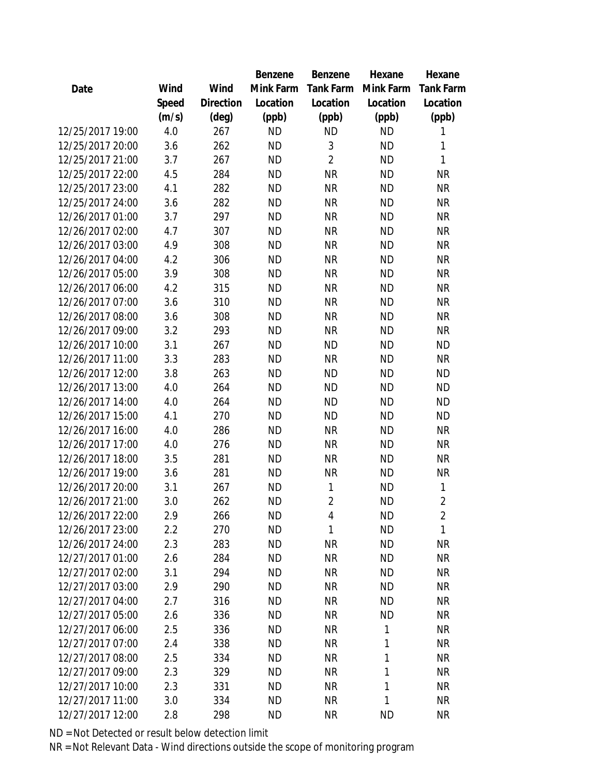|                  |       |                | Benzene   | Benzene        | Hexane       | Hexane         |
|------------------|-------|----------------|-----------|----------------|--------------|----------------|
| Date             | Wind  | Wind           | Mink Farm | Tank Farm      | Mink Farm    | Tank Farm      |
|                  | Speed | Direction      | Location  | Location       | Location     | Location       |
|                  | (m/s) | $(\text{deg})$ | (ppb)     | (ppb)          | (ppb)        | (ppb)          |
| 12/25/2017 19:00 | 4.0   | 267            | <b>ND</b> | <b>ND</b>      | <b>ND</b>    | 1              |
| 12/25/2017 20:00 | 3.6   | 262            | <b>ND</b> | 3              | <b>ND</b>    | 1              |
| 12/25/2017 21:00 | 3.7   | 267            | <b>ND</b> | $\overline{2}$ | <b>ND</b>    | 1              |
| 12/25/2017 22:00 | 4.5   | 284            | <b>ND</b> | <b>NR</b>      | <b>ND</b>    | <b>NR</b>      |
| 12/25/2017 23:00 | 4.1   | 282            | <b>ND</b> | <b>NR</b>      | <b>ND</b>    | <b>NR</b>      |
| 12/25/2017 24:00 | 3.6   | 282            | <b>ND</b> | <b>NR</b>      | <b>ND</b>    | <b>NR</b>      |
| 12/26/2017 01:00 | 3.7   | 297            | <b>ND</b> | <b>NR</b>      | <b>ND</b>    | <b>NR</b>      |
| 12/26/2017 02:00 | 4.7   | 307            | <b>ND</b> | <b>NR</b>      | <b>ND</b>    | <b>NR</b>      |
| 12/26/2017 03:00 | 4.9   | 308            | <b>ND</b> | <b>NR</b>      | <b>ND</b>    | <b>NR</b>      |
| 12/26/2017 04:00 | 4.2   | 306            | <b>ND</b> | <b>NR</b>      | <b>ND</b>    | <b>NR</b>      |
| 12/26/2017 05:00 | 3.9   | 308            | <b>ND</b> | <b>NR</b>      | <b>ND</b>    | <b>NR</b>      |
| 12/26/2017 06:00 | 4.2   | 315            | <b>ND</b> | <b>NR</b>      | <b>ND</b>    | <b>NR</b>      |
| 12/26/2017 07:00 | 3.6   | 310            | <b>ND</b> | <b>NR</b>      | <b>ND</b>    | <b>NR</b>      |
| 12/26/2017 08:00 | 3.6   | 308            | <b>ND</b> | <b>NR</b>      | <b>ND</b>    | <b>NR</b>      |
| 12/26/2017 09:00 | 3.2   | 293            | <b>ND</b> | <b>NR</b>      | <b>ND</b>    | <b>NR</b>      |
| 12/26/2017 10:00 | 3.1   | 267            | <b>ND</b> | <b>ND</b>      | <b>ND</b>    | <b>ND</b>      |
| 12/26/2017 11:00 | 3.3   | 283            | <b>ND</b> | <b>NR</b>      | <b>ND</b>    | <b>NR</b>      |
| 12/26/2017 12:00 | 3.8   | 263            | <b>ND</b> | <b>ND</b>      | <b>ND</b>    | <b>ND</b>      |
| 12/26/2017 13:00 | 4.0   | 264            | <b>ND</b> | <b>ND</b>      | <b>ND</b>    | <b>ND</b>      |
| 12/26/2017 14:00 | 4.0   | 264            | <b>ND</b> | <b>ND</b>      | <b>ND</b>    | <b>ND</b>      |
| 12/26/2017 15:00 | 4.1   | 270            | <b>ND</b> | <b>ND</b>      | <b>ND</b>    | <b>ND</b>      |
| 12/26/2017 16:00 | 4.0   | 286            | <b>ND</b> | <b>NR</b>      | <b>ND</b>    | <b>NR</b>      |
| 12/26/2017 17:00 | 4.0   | 276            | <b>ND</b> | <b>NR</b>      | <b>ND</b>    | <b>NR</b>      |
| 12/26/2017 18:00 | 3.5   | 281            | <b>ND</b> | <b>NR</b>      | <b>ND</b>    | <b>NR</b>      |
| 12/26/2017 19:00 | 3.6   | 281            | <b>ND</b> | <b>NR</b>      | <b>ND</b>    | <b>NR</b>      |
| 12/26/2017 20:00 | 3.1   | 267            | <b>ND</b> | 1              | <b>ND</b>    | 1              |
| 12/26/2017 21:00 | 3.0   | 262            | <b>ND</b> | $\overline{2}$ | <b>ND</b>    | $\overline{2}$ |
| 12/26/2017 22:00 | 2.9   | 266            | <b>ND</b> | 4              | <b>ND</b>    | $\overline{2}$ |
| 12/26/2017 23:00 | 2.2   | 270            | <b>ND</b> | 1              | <b>ND</b>    | $\mathbf{1}$   |
| 12/26/2017 24:00 | 2.3   | 283            | <b>ND</b> | <b>NR</b>      | <b>ND</b>    | <b>NR</b>      |
| 12/27/2017 01:00 | 2.6   | 284            | ND        | <b>NR</b>      | <b>ND</b>    | <b>NR</b>      |
| 12/27/2017 02:00 | 3.1   | 294            | <b>ND</b> | <b>NR</b>      | <b>ND</b>    | <b>NR</b>      |
| 12/27/2017 03:00 | 2.9   | 290            | <b>ND</b> | <b>NR</b>      | <b>ND</b>    | <b>NR</b>      |
| 12/27/2017 04:00 | 2.7   | 316            | <b>ND</b> | <b>NR</b>      | <b>ND</b>    | <b>NR</b>      |
| 12/27/2017 05:00 | 2.6   | 336            | <b>ND</b> | <b>NR</b>      | <b>ND</b>    | <b>NR</b>      |
| 12/27/2017 06:00 | 2.5   | 336            | ND        | <b>NR</b>      | $\mathbf{1}$ | <b>NR</b>      |
| 12/27/2017 07:00 | 2.4   | 338            | <b>ND</b> | <b>NR</b>      | 1            | <b>NR</b>      |
| 12/27/2017 08:00 | 2.5   | 334            | <b>ND</b> | <b>NR</b>      | $\mathbf{1}$ | <b>NR</b>      |
| 12/27/2017 09:00 | 2.3   | 329            | <b>ND</b> | <b>NR</b>      | 1            | <b>NR</b>      |
| 12/27/2017 10:00 | 2.3   | 331            | <b>ND</b> | <b>NR</b>      | 1            | NR             |
| 12/27/2017 11:00 | 3.0   | 334            | <b>ND</b> | <b>NR</b>      | $\mathbf{1}$ | <b>NR</b>      |
| 12/27/2017 12:00 | 2.8   | 298            | <b>ND</b> | <b>NR</b>      | <b>ND</b>    | <b>NR</b>      |
|                  |       |                |           |                |              |                |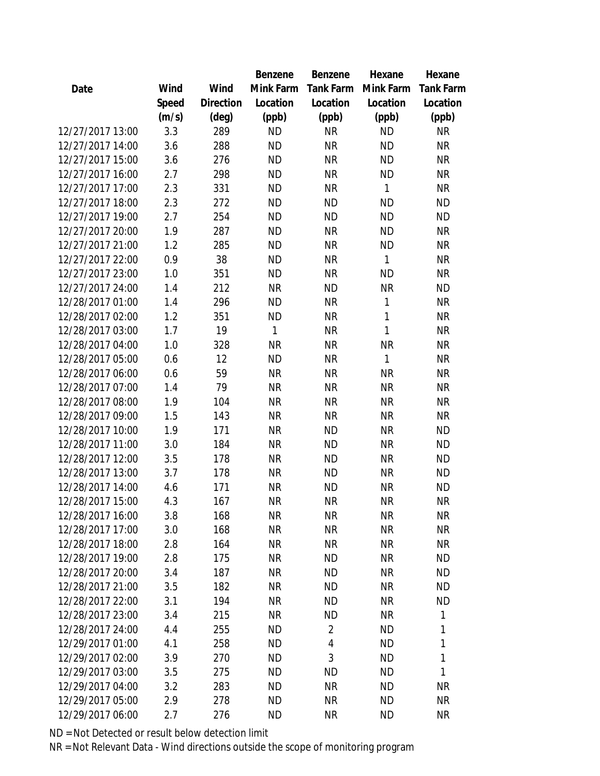|                  |       |                | Benzene   | Benzene          | Hexane       | Hexane           |
|------------------|-------|----------------|-----------|------------------|--------------|------------------|
| Date             | Wind  | Wind           | Mink Farm | <b>Tank Farm</b> | Mink Farm    | <b>Tank Farm</b> |
|                  | Speed | Direction      | Location  | Location         | Location     | Location         |
|                  | (m/s) | $(\text{deg})$ | (ppb)     | (ppb)            | (ppb)        | (ppb)            |
| 12/27/2017 13:00 | 3.3   | 289            | <b>ND</b> | <b>NR</b>        | <b>ND</b>    | <b>NR</b>        |
| 12/27/2017 14:00 | 3.6   | 288            | <b>ND</b> | <b>NR</b>        | <b>ND</b>    | <b>NR</b>        |
| 12/27/2017 15:00 | 3.6   | 276            | <b>ND</b> | <b>NR</b>        | <b>ND</b>    | <b>NR</b>        |
| 12/27/2017 16:00 | 2.7   | 298            | <b>ND</b> | <b>NR</b>        | <b>ND</b>    | <b>NR</b>        |
| 12/27/2017 17:00 | 2.3   | 331            | <b>ND</b> | <b>NR</b>        | $\mathbf{1}$ | <b>NR</b>        |
| 12/27/2017 18:00 | 2.3   | 272            | <b>ND</b> | <b>ND</b>        | <b>ND</b>    | <b>ND</b>        |
| 12/27/2017 19:00 | 2.7   | 254            | <b>ND</b> | <b>ND</b>        | <b>ND</b>    | <b>ND</b>        |
| 12/27/2017 20:00 | 1.9   | 287            | <b>ND</b> | <b>NR</b>        | <b>ND</b>    | <b>NR</b>        |
| 12/27/2017 21:00 | 1.2   | 285            | <b>ND</b> | <b>NR</b>        | <b>ND</b>    | <b>NR</b>        |
| 12/27/2017 22:00 | 0.9   | 38             | <b>ND</b> | <b>NR</b>        | 1            | <b>NR</b>        |
| 12/27/2017 23:00 | 1.0   | 351            | <b>ND</b> | <b>NR</b>        | <b>ND</b>    | <b>NR</b>        |
| 12/27/2017 24:00 | 1.4   | 212            | <b>NR</b> | <b>ND</b>        | <b>NR</b>    | <b>ND</b>        |
| 12/28/2017 01:00 | 1.4   | 296            | <b>ND</b> | <b>NR</b>        | $\mathbf{1}$ | <b>NR</b>        |
| 12/28/2017 02:00 | 1.2   | 351            | <b>ND</b> | <b>NR</b>        | $\mathbf{1}$ | <b>NR</b>        |
| 12/28/2017 03:00 | 1.7   | 19             | 1         | <b>NR</b>        | $\mathbf{1}$ | <b>NR</b>        |
| 12/28/2017 04:00 | 1.0   | 328            | <b>NR</b> | <b>NR</b>        | <b>NR</b>    | <b>NR</b>        |
| 12/28/2017 05:00 | 0.6   | 12             | <b>ND</b> | <b>NR</b>        | $\mathbf{1}$ | <b>NR</b>        |
| 12/28/2017 06:00 | 0.6   | 59             | <b>NR</b> | <b>NR</b>        | <b>NR</b>    | <b>NR</b>        |
| 12/28/2017 07:00 | 1.4   | 79             | <b>NR</b> | <b>NR</b>        | <b>NR</b>    | <b>NR</b>        |
| 12/28/2017 08:00 | 1.9   | 104            | <b>NR</b> | <b>NR</b>        | <b>NR</b>    | <b>NR</b>        |
| 12/28/2017 09:00 | 1.5   | 143            | <b>NR</b> | <b>NR</b>        | <b>NR</b>    | <b>NR</b>        |
| 12/28/2017 10:00 | 1.9   | 171            | <b>NR</b> | <b>ND</b>        | <b>NR</b>    | <b>ND</b>        |
| 12/28/2017 11:00 | 3.0   | 184            | <b>NR</b> | <b>ND</b>        | <b>NR</b>    | <b>ND</b>        |
| 12/28/2017 12:00 | 3.5   | 178            | <b>NR</b> | <b>ND</b>        | <b>NR</b>    | <b>ND</b>        |
| 12/28/2017 13:00 | 3.7   | 178            | <b>NR</b> | <b>ND</b>        | <b>NR</b>    | <b>ND</b>        |
| 12/28/2017 14:00 | 4.6   | 171            | <b>NR</b> | <b>ND</b>        | <b>NR</b>    | <b>ND</b>        |
| 12/28/2017 15:00 | 4.3   | 167            | <b>NR</b> | <b>NR</b>        | <b>NR</b>    | <b>NR</b>        |
| 12/28/2017 16:00 | 3.8   | 168            | <b>NR</b> | <b>NR</b>        | <b>NR</b>    | <b>NR</b>        |
| 12/28/2017 17:00 | 3.0   | 168            | <b>NR</b> | <b>NR</b>        | <b>NR</b>    | <b>NR</b>        |
| 12/28/2017 18:00 | 2.8   | 164            | <b>NR</b> | <b>NR</b>        | <b>NR</b>    | <b>NR</b>        |
| 12/28/2017 19:00 | 2.8   | 175            | <b>NR</b> | <b>ND</b>        | <b>NR</b>    | <b>ND</b>        |
| 12/28/2017 20:00 | 3.4   | 187            | <b>NR</b> | <b>ND</b>        | <b>NR</b>    | <b>ND</b>        |
| 12/28/2017 21:00 | 3.5   | 182            | <b>NR</b> | <b>ND</b>        | <b>NR</b>    | <b>ND</b>        |
| 12/28/2017 22:00 | 3.1   | 194            | <b>NR</b> | <b>ND</b>        | <b>NR</b>    | <b>ND</b>        |
| 12/28/2017 23:00 | 3.4   | 215            | <b>NR</b> | <b>ND</b>        | <b>NR</b>    | 1                |
| 12/28/2017 24:00 | 4.4   | 255            | ND        | $\overline{2}$   | <b>ND</b>    | 1                |
| 12/29/2017 01:00 | 4.1   | 258            | <b>ND</b> | 4                | <b>ND</b>    | 1                |
| 12/29/2017 02:00 | 3.9   | 270            | <b>ND</b> | 3                | <b>ND</b>    | 1                |
| 12/29/2017 03:00 | 3.5   | 275            | <b>ND</b> | <b>ND</b>        | <b>ND</b>    | 1                |
| 12/29/2017 04:00 | 3.2   | 283            | <b>ND</b> | <b>NR</b>        | <b>ND</b>    | NR               |
| 12/29/2017 05:00 | 2.9   | 278            | <b>ND</b> | <b>NR</b>        | <b>ND</b>    | <b>NR</b>        |
| 12/29/2017 06:00 | 2.7   | 276            | <b>ND</b> | <b>NR</b>        | <b>ND</b>    | <b>NR</b>        |
|                  |       |                |           |                  |              |                  |